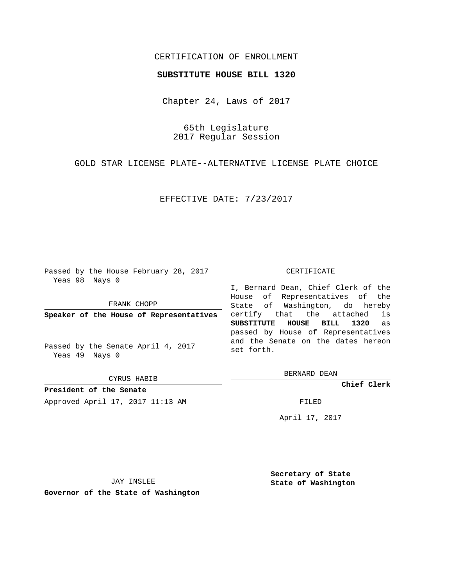# CERTIFICATION OF ENROLLMENT

### **SUBSTITUTE HOUSE BILL 1320**

Chapter 24, Laws of 2017

65th Legislature 2017 Regular Session

GOLD STAR LICENSE PLATE--ALTERNATIVE LICENSE PLATE CHOICE

EFFECTIVE DATE: 7/23/2017

Passed by the House February 28, 2017 Yeas 98 Nays 0

FRANK CHOPP

**Speaker of the House of Representatives**

Passed by the Senate April 4, 2017 Yeas 49 Nays 0

CYRUS HABIB

**President of the Senate** Approved April 17, 2017 11:13 AM FILED

#### CERTIFICATE

I, Bernard Dean, Chief Clerk of the House of Representatives of the State of Washington, do hereby certify that the attached is **SUBSTITUTE HOUSE BILL 1320** as passed by House of Representatives and the Senate on the dates hereon set forth.

BERNARD DEAN

**Chief Clerk**

April 17, 2017

JAY INSLEE

**Governor of the State of Washington**

**Secretary of State State of Washington**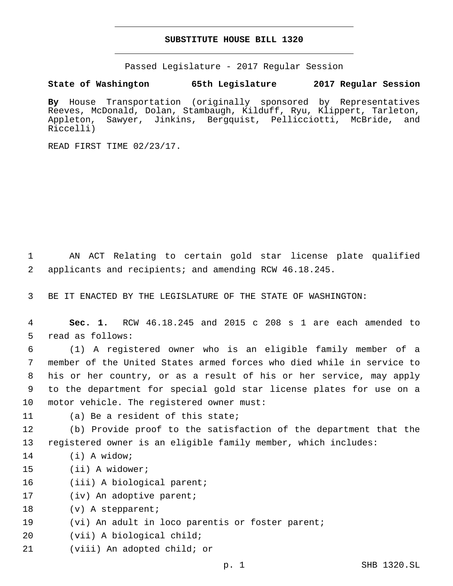## **SUBSTITUTE HOUSE BILL 1320**

Passed Legislature - 2017 Regular Session

## **State of Washington 65th Legislature 2017 Regular Session**

**By** House Transportation (originally sponsored by Representatives Reeves, McDonald, Dolan, Stambaugh, Kilduff, Ryu, Klippert, Tarleton, Appleton, Sawyer, Jinkins, Bergquist, Pellicciotti, McBride, and Riccelli)

READ FIRST TIME 02/23/17.

1 AN ACT Relating to certain gold star license plate qualified 2 applicants and recipients; and amending RCW 46.18.245.

3 BE IT ENACTED BY THE LEGISLATURE OF THE STATE OF WASHINGTON:

4 **Sec. 1.** RCW 46.18.245 and 2015 c 208 s 1 are each amended to 5 read as follows:

 (1) A registered owner who is an eligible family member of a member of the United States armed forces who died while in service to his or her country, or as a result of his or her service, may apply to the department for special gold star license plates for use on a 10 motor vehicle. The registered owner must:

- 
- 11 (a) Be a resident of this state;

12 (b) Provide proof to the satisfaction of the department that the 13 registered owner is an eligible family member, which includes:

- 14 (i) A widow;
- 15 (ii) A widower;
- 16 (iii) A biological parent;
- 17 (iv) An adoptive parent;
- 18 (v) A stepparent;
- 19 (vi) An adult in loco parentis or foster parent;
- 20 (vii) A biological child;
- 21 (viii) An adopted child; or